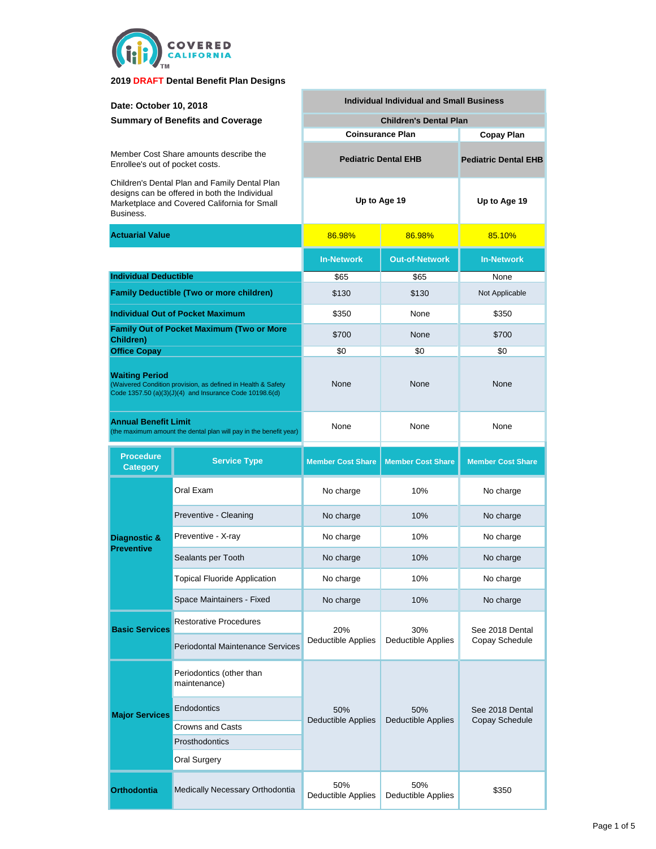

| Date: October 10, 2018                                                                                                                                      |                                          | <b>Individual Individual and Small Business</b> |                                  |                                   |  |  |
|-------------------------------------------------------------------------------------------------------------------------------------------------------------|------------------------------------------|-------------------------------------------------|----------------------------------|-----------------------------------|--|--|
| <b>Summary of Benefits and Coverage</b>                                                                                                                     |                                          |                                                 | <b>Children's Dental Plan</b>    |                                   |  |  |
|                                                                                                                                                             |                                          | <b>Coinsurance Plan</b>                         | <b>Copay Plan</b>                |                                   |  |  |
| Member Cost Share amounts describe the<br>Enrollee's out of pocket costs.                                                                                   |                                          | <b>Pediatric Dental EHB</b>                     | <b>Pediatric Dental EHB</b>      |                                   |  |  |
| Children's Dental Plan and Family Dental Plan<br>designs can be offered in both the Individual<br>Marketplace and Covered California for Small<br>Business. |                                          | Up to Age 19                                    |                                  | Up to Age 19                      |  |  |
| <b>Actuarial Value</b>                                                                                                                                      |                                          | 86.98%                                          | 86.98%                           | 85.10%                            |  |  |
|                                                                                                                                                             |                                          | <b>In-Network</b>                               | <b>Out-of-Network</b>            | <b>In-Network</b>                 |  |  |
|                                                                                                                                                             | <b>Individual Deductible</b>             |                                                 | \$65                             | None                              |  |  |
| <b>Family Deductible (Two or more children)</b>                                                                                                             |                                          | \$130                                           | \$130                            | Not Applicable                    |  |  |
|                                                                                                                                                             | <b>Individual Out of Pocket Maximum</b>  | \$350                                           | None                             | \$350                             |  |  |
| <b>Family Out of Pocket Maximum (Two or More</b><br>Children)                                                                                               |                                          | \$700                                           | None                             | \$700                             |  |  |
| <b>Office Copay</b>                                                                                                                                         |                                          | \$0                                             | \$0                              | \$0                               |  |  |
| <b>Waiting Period</b><br>(Waivered Condition provision, as defined in Health & Safety<br>Code 1357.50 (a)(3)(J)(4) and Insurance Code 10198.6(d)            |                                          | None                                            | None                             | None                              |  |  |
| <b>Annual Benefit Limit</b><br>(the maximum amount the dental plan will pay in the benefit year)                                                            |                                          | None<br>None                                    |                                  | None                              |  |  |
| <b>Procedure</b><br><b>Category</b>                                                                                                                         | <b>Service Type</b>                      | <b>Member Cost Share</b>                        | <b>Member Cost Share</b>         | <b>Member Cost Share</b>          |  |  |
|                                                                                                                                                             | Oral Exam                                | No charge                                       | 10%                              | No charge                         |  |  |
|                                                                                                                                                             | Preventive - Cleaning                    | No charge                                       | 10%                              | No charge                         |  |  |
| Diagnostic &                                                                                                                                                | Preventive - X-ray                       | No charge                                       | 10%                              | No charge                         |  |  |
| <b>Preventive</b>                                                                                                                                           | Sealants per Tooth                       | No charge                                       | 10%                              | No charge                         |  |  |
|                                                                                                                                                             | <b>Topical Fluoride Application</b>      | No charge                                       | 10%                              | No charge                         |  |  |
|                                                                                                                                                             | Space Maintainers - Fixed                | No charge                                       | 10%                              | No charge                         |  |  |
| <b>Basic Services</b>                                                                                                                                       | <b>Restorative Procedures</b>            | 20%                                             | 30%                              | See 2018 Dental                   |  |  |
|                                                                                                                                                             | <b>Periodontal Maintenance Services</b>  | <b>Deductible Applies</b>                       | <b>Deductible Applies</b>        | Copay Schedule                    |  |  |
|                                                                                                                                                             | Periodontics (other than<br>maintenance) |                                                 |                                  |                                   |  |  |
| <b>Major Services</b>                                                                                                                                       | Endodontics                              | 50%                                             | 50%<br><b>Deductible Applies</b> | See 2018 Dental<br>Copay Schedule |  |  |
|                                                                                                                                                             | Crowns and Casts                         | <b>Deductible Applies</b>                       |                                  |                                   |  |  |
|                                                                                                                                                             | Prosthodontics                           |                                                 |                                  |                                   |  |  |
|                                                                                                                                                             |                                          |                                                 |                                  |                                   |  |  |
|                                                                                                                                                             | <b>Oral Surgery</b>                      |                                                 |                                  |                                   |  |  |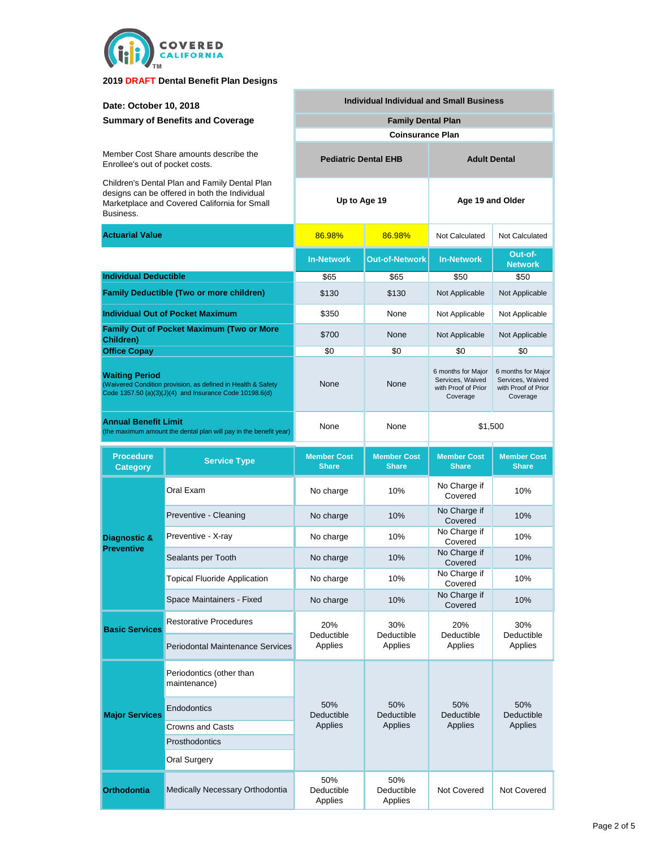

| Date: October 10, 2018<br><b>Summary of Benefits and Coverage</b>                                                                                           |                                                  | <b>Individual Individual and Small Business</b> |                                    |                                                                           |                                                                           |  |
|-------------------------------------------------------------------------------------------------------------------------------------------------------------|--------------------------------------------------|-------------------------------------------------|------------------------------------|---------------------------------------------------------------------------|---------------------------------------------------------------------------|--|
|                                                                                                                                                             |                                                  | <b>Family Dental Plan</b>                       |                                    |                                                                           |                                                                           |  |
|                                                                                                                                                             |                                                  |                                                 | <b>Coinsurance Plan</b>            |                                                                           |                                                                           |  |
| Member Cost Share amounts describe the<br>Enrollee's out of pocket costs.                                                                                   |                                                  | <b>Pediatric Dental EHB</b>                     |                                    |                                                                           | <b>Adult Dental</b>                                                       |  |
| Children's Dental Plan and Family Dental Plan<br>designs can be offered in both the Individual<br>Marketplace and Covered California for Small<br>Business. |                                                  | Up to Age 19                                    |                                    | Age 19 and Older                                                          |                                                                           |  |
| <b>Actuarial Value</b>                                                                                                                                      |                                                  | 86.98%                                          | 86.98%                             | Not Calculated                                                            | Not Calculated                                                            |  |
|                                                                                                                                                             |                                                  | <b>In-Network</b>                               | <b>Out-of-Network</b>              | <b>In-Network</b>                                                         | Out-of-<br><b>Network</b>                                                 |  |
| <b>Individual Deductible</b>                                                                                                                                |                                                  | \$65                                            | \$65                               | \$50                                                                      | \$50                                                                      |  |
|                                                                                                                                                             | <b>Family Deductible (Two or more children)</b>  | \$130                                           | \$130                              | Not Applicable                                                            | Not Applicable                                                            |  |
|                                                                                                                                                             | <b>Individual Out of Pocket Maximum</b>          | \$350                                           | None                               | Not Applicable                                                            | Not Applicable                                                            |  |
| Children)                                                                                                                                                   | <b>Family Out of Pocket Maximum (Two or More</b> | \$700                                           | None                               | Not Applicable                                                            | Not Applicable                                                            |  |
| <b>Office Copay</b>                                                                                                                                         |                                                  | \$0                                             | \$0                                | \$0                                                                       | \$0                                                                       |  |
| <b>Waiting Period</b><br>(Waivered Condition provision, as defined in Health & Safety<br>Code 1357.50 (a)(3)(J)(4) and Insurance Code 10198.6(d)            |                                                  | None                                            | None                               | 6 months for Major<br>Services, Waived<br>with Proof of Prior<br>Coverage | 6 months for Major<br>Services, Waived<br>with Proof of Prior<br>Coverage |  |
| <b>Annual Benefit Limit</b><br>(the maximum amount the dental plan will pay in the benefit year)                                                            |                                                  | None                                            | None                               | \$1,500                                                                   |                                                                           |  |
| <b>Procedure</b><br><b>Category</b>                                                                                                                         | <b>Service Type</b>                              | <b>Member Cost</b><br><b>Share</b>              | <b>Member Cost</b><br><b>Share</b> | <b>Member Cost</b><br><b>Share</b>                                        | <b>Member Cost</b><br><b>Share</b>                                        |  |
|                                                                                                                                                             | Oral Exam                                        | No charge                                       | 10%                                | No Charge if<br>Covered                                                   | 10%                                                                       |  |
|                                                                                                                                                             | Preventive - Cleaning                            | No charge                                       | 10%                                | No Charge if<br>Covered                                                   | 10%                                                                       |  |
| Diagnostic &                                                                                                                                                | Preventive - X-ray                               | No charge                                       | 10%                                | No Charge if<br>Covered                                                   | 10%                                                                       |  |
| <b>Preventive</b>                                                                                                                                           | Sealants per Tooth                               | No charge                                       | 10%                                | No Charge if<br>Covered                                                   | 10%                                                                       |  |
|                                                                                                                                                             | <b>Topical Fluoride Application</b>              | No charge                                       | 10%                                | No Charge if<br>Covered                                                   | 10%                                                                       |  |
|                                                                                                                                                             | Space Maintainers - Fixed                        | No charge                                       | 10%                                | No Charge if<br>Covered                                                   | 10%                                                                       |  |
| <b>Basic Services</b>                                                                                                                                       | <b>Restorative Procedures</b>                    | 20%<br>Deductible<br>Applies                    | 30%<br>Deductible<br>Applies       | 20%<br>Deductible<br>Applies                                              | 30%<br>Deductible<br>Applies                                              |  |
|                                                                                                                                                             | <b>Periodontal Maintenance Services</b>          |                                                 |                                    |                                                                           |                                                                           |  |
| <b>Major Services</b>                                                                                                                                       | Periodontics (other than<br>maintenance)         | 50%<br>Deductible                               | 50%<br>Deductible<br>Applies       | 50%<br>Deductible<br>Applies                                              | 50%<br>Deductible<br>Applies                                              |  |
|                                                                                                                                                             | Endodontics                                      |                                                 |                                    |                                                                           |                                                                           |  |
|                                                                                                                                                             | <b>Crowns and Casts</b>                          | Applies                                         |                                    |                                                                           |                                                                           |  |
|                                                                                                                                                             | Prosthodontics                                   |                                                 |                                    |                                                                           |                                                                           |  |
|                                                                                                                                                             | Oral Surgery                                     |                                                 |                                    |                                                                           |                                                                           |  |
| <b>Orthodontia</b>                                                                                                                                          | Medically Necessary Orthodontia                  | 50%<br>Deductible<br>Applies                    | 50%<br>Deductible<br>Applies       | Not Covered                                                               | Not Covered                                                               |  |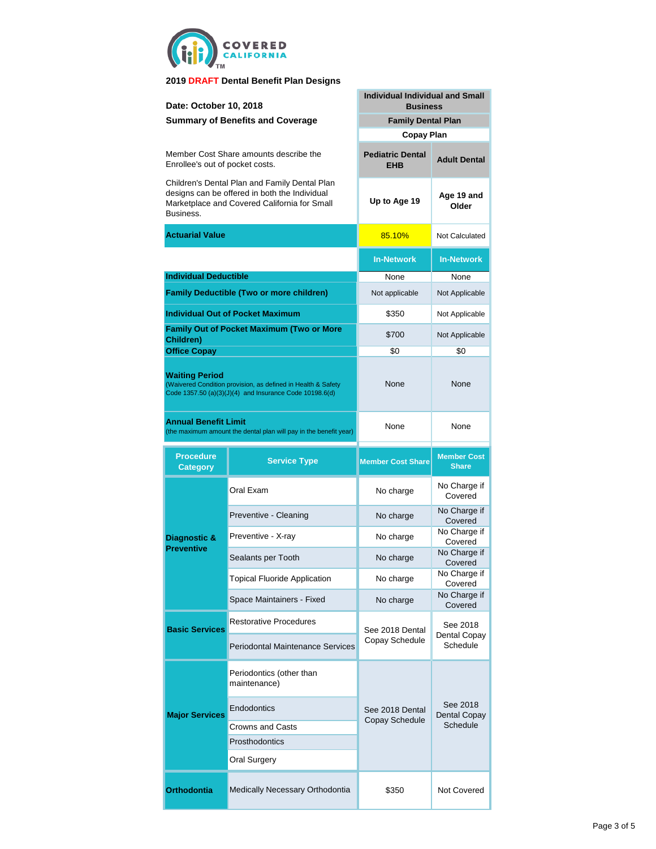

| Date: October 10, 2018                                                                                                                                      |                                                 | <b>Individual Individual and Small</b><br><b>Business</b> |                                    |  |  |
|-------------------------------------------------------------------------------------------------------------------------------------------------------------|-------------------------------------------------|-----------------------------------------------------------|------------------------------------|--|--|
|                                                                                                                                                             | <b>Summary of Benefits and Coverage</b>         | <b>Family Dental Plan</b>                                 |                                    |  |  |
|                                                                                                                                                             |                                                 | <b>Copay Plan</b>                                         |                                    |  |  |
| Member Cost Share amounts describe the<br>Enrollee's out of pocket costs.                                                                                   |                                                 | <b>Pediatric Dental</b><br><b>EHB</b>                     | <b>Adult Dental</b>                |  |  |
| Children's Dental Plan and Family Dental Plan<br>designs can be offered in both the Individual<br>Marketplace and Covered California for Small<br>Business. |                                                 | Up to Age 19                                              | Age 19 and<br>Older                |  |  |
| Actuarial Value                                                                                                                                             |                                                 | 85.10%                                                    | Not Calculated                     |  |  |
|                                                                                                                                                             |                                                 | <b>In-Network</b>                                         | <b>In-Network</b>                  |  |  |
| <b>Individual Deductible</b>                                                                                                                                |                                                 | None                                                      | None                               |  |  |
|                                                                                                                                                             | <b>Family Deductible (Two or more children)</b> | Not applicable                                            | Not Applicable                     |  |  |
| <b>Individual Out of Pocket Maximum</b>                                                                                                                     |                                                 | \$350                                                     | Not Applicable                     |  |  |
| <b>Family Out of Pocket Maximum (Two or More</b><br>Children)                                                                                               |                                                 | \$700                                                     | Not Applicable                     |  |  |
| <b>Office Copay</b>                                                                                                                                         |                                                 | \$0                                                       | \$0                                |  |  |
| <b>Waiting Period</b><br>(Waivered Condition provision, as defined in Health & Safety<br>Code 1357.50 (a)(3)(J)(4) and Insurance Code 10198.6(d)            |                                                 | None                                                      | None                               |  |  |
| Annual Benefit Limit<br>(the maximum amount the dental plan will pay in the benefit year)                                                                   |                                                 | None                                                      | None                               |  |  |
|                                                                                                                                                             |                                                 |                                                           |                                    |  |  |
| <b>Procedure</b><br><b>Category</b>                                                                                                                         | <b>Service Type</b>                             | <b>Member Cost Share</b>                                  | <b>Member Cost</b><br><b>Share</b> |  |  |
|                                                                                                                                                             | Oral Exam                                       | No charge                                                 | No Charge if<br>Covered            |  |  |
|                                                                                                                                                             | Preventive - Cleaning                           | No charge                                                 | No Charge if<br>Covered            |  |  |
| Diagnostic &                                                                                                                                                | Preventive - X-ray                              | No charge                                                 | No Charge if<br>Covered            |  |  |
| <b>Preventive</b>                                                                                                                                           | Sealants per Tooth                              | No charge                                                 | No Charge if<br>Covered            |  |  |
|                                                                                                                                                             | <b>Topical Fluoride Application</b>             | No charge                                                 | No Charge if<br>Covered            |  |  |
|                                                                                                                                                             | Space Maintainers - Fixed                       | No charge                                                 | No Charge if<br>Covered            |  |  |
|                                                                                                                                                             | <b>Restorative Procedures</b>                   | See 2018 Dental                                           | See 2018                           |  |  |
| <b>Basic Services</b>                                                                                                                                       | Periodontal Maintenance Services                | Copay Schedule                                            | Dental Copay<br>Schedule           |  |  |
|                                                                                                                                                             | Periodontics (other than<br>maintenance)        |                                                           |                                    |  |  |
| <b>Major Services</b>                                                                                                                                       | Endodontics                                     | See 2018 Dental                                           | See 2018<br><b>Dental Copay</b>    |  |  |
|                                                                                                                                                             | Crowns and Casts                                | Copay Schedule                                            | Schedule                           |  |  |
|                                                                                                                                                             | Prosthodontics                                  |                                                           |                                    |  |  |
|                                                                                                                                                             | Oral Surgery                                    |                                                           |                                    |  |  |